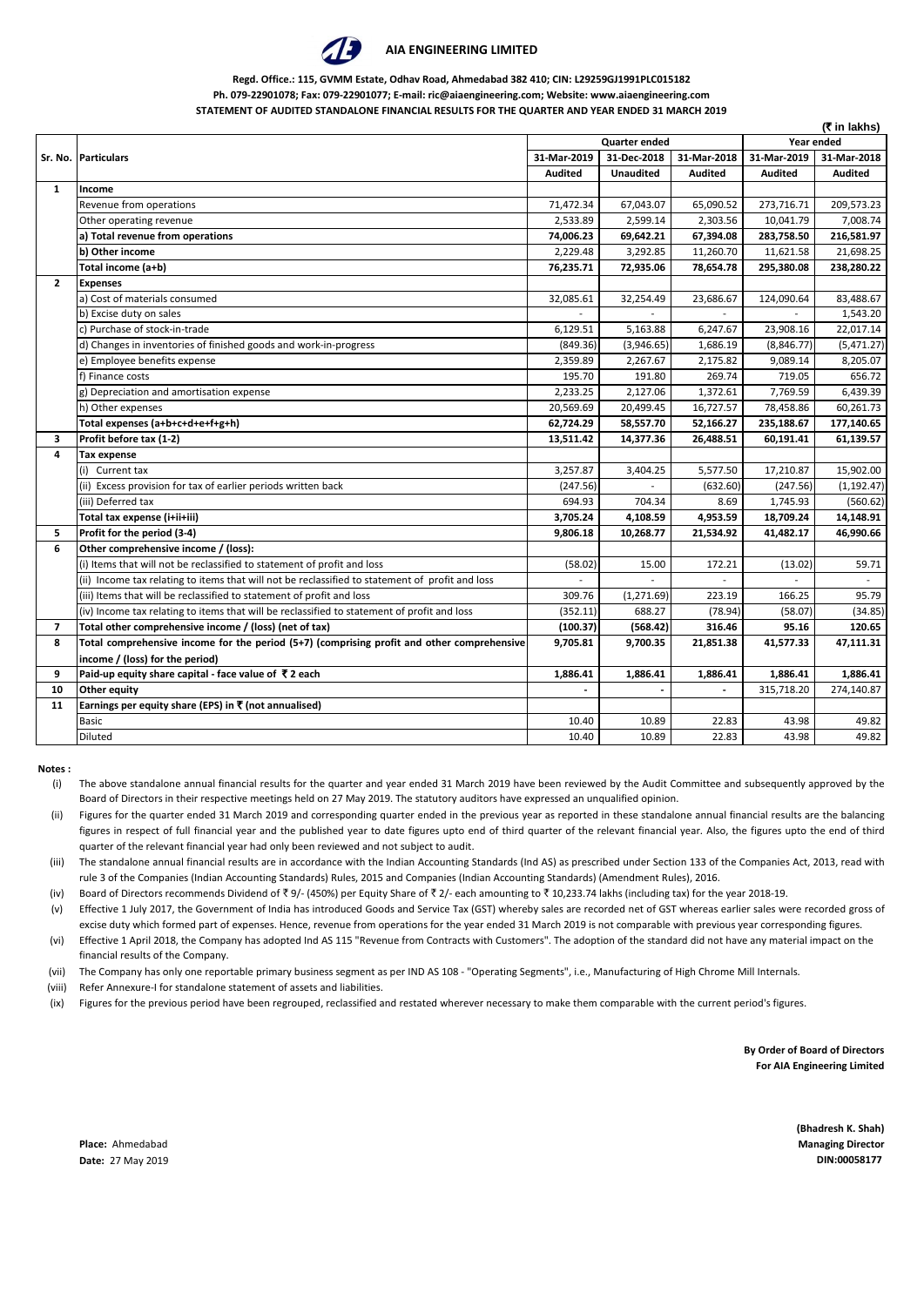

#### **AIA ENGINEERING LIMITED**

#### **Regd. Office.: 115, GVMM Estate, Odhav Road, Ahmedabad 382 410; CIN: L29259GJ1991PLC015182 Ph. 079-22901078; Fax: 079-22901077; E-mail: ric@aiaengineering.com; Website: www.aiaengineering.com STATEMENT OF AUDITED STANDALONE FINANCIAL RESULTS FOR THE QUARTER AND YEAR ENDED 31 MARCH 2019**

|                |                                                                                                 |                |                      |                |                | (₹ in lakhs)   |
|----------------|-------------------------------------------------------------------------------------------------|----------------|----------------------|----------------|----------------|----------------|
|                |                                                                                                 |                | <b>Quarter ended</b> |                |                | Year ended     |
|                | Sr. No. Particulars                                                                             | 31-Mar-2019    | 31-Dec-2018          | 31-Mar-2018    | 31-Mar-2019    | 31-Mar-2018    |
|                |                                                                                                 | <b>Audited</b> | <b>Unaudited</b>     | <b>Audited</b> | <b>Audited</b> | <b>Audited</b> |
| $\mathbf{1}$   | Income                                                                                          |                |                      |                |                |                |
|                | Revenue from operations                                                                         | 71,472.34      | 67,043.07            | 65,090.52      | 273,716.71     | 209,573.23     |
|                | Other operating revenue                                                                         | 2,533.89       | 2,599.14             | 2,303.56       | 10,041.79      | 7,008.74       |
|                | a) Total revenue from operations                                                                | 74,006.23      | 69,642.21            | 67,394.08      | 283,758.50     | 216,581.97     |
|                | b) Other income                                                                                 | 2,229.48       | 3,292.85             | 11,260.70      | 11,621.58      | 21,698.25      |
|                | Total income (a+b)                                                                              | 76,235.71      | 72,935.06            | 78,654.78      | 295,380.08     | 238,280.22     |
| $\mathbf{2}$   | <b>Expenses</b>                                                                                 |                |                      |                |                |                |
|                | a) Cost of materials consumed                                                                   | 32,085.61      | 32,254.49            | 23,686.67      | 124,090.64     | 83,488.67      |
|                | b) Excise duty on sales                                                                         |                |                      | $\mathbf{r}$   |                | 1,543.20       |
|                | c) Purchase of stock-in-trade                                                                   | 6,129.51       | 5,163.88             | 6,247.67       | 23,908.16      | 22,017.14      |
|                | d) Changes in inventories of finished goods and work-in-progress                                | (849.36)       | (3,946.65)           | 1,686.19       | (8,846.77)     | (5,471.27)     |
|                | e) Employee benefits expense                                                                    | 2,359.89       | 2,267.67             | 2,175.82       | 9,089.14       | 8,205.07       |
|                | f) Finance costs                                                                                | 195.70         | 191.80               | 269.74         | 719.05         | 656.72         |
|                | g) Depreciation and amortisation expense                                                        | 2,233.25       | 2,127.06             | 1,372.61       | 7,769.59       | 6,439.39       |
|                | h) Other expenses                                                                               | 20,569.69      | 20,499.45            | 16,727.57      | 78,458.86      | 60,261.73      |
|                | Total expenses (a+b+c+d+e+f+g+h)                                                                | 62,724.29      | 58,557.70            | 52,166.27      | 235,188.67     | 177,140.65     |
| 3              | Profit before tax (1-2)                                                                         | 13,511.42      | 14,377.36            | 26,488.51      | 60,191.41      | 61,139.57      |
| 4              | <b>Tax expense</b>                                                                              |                |                      |                |                |                |
|                | (i) Current tax                                                                                 | 3,257.87       | 3,404.25             | 5,577.50       | 17,210.87      | 15,902.00      |
|                | (ii) Excess provision for tax of earlier periods written back                                   | (247.56)       |                      | (632.60)       | (247.56)       | (1, 192.47)    |
|                | (iii) Deferred tax                                                                              | 694.93         | 704.34               | 8.69           | 1,745.93       | (560.62)       |
|                | Total tax expense (i+ii+iii)                                                                    | 3,705.24       | 4,108.59             | 4,953.59       | 18,709.24      | 14,148.91      |
| 5.             | Profit for the period (3-4)                                                                     | 9,806.18       | 10,268.77            | 21,534.92      | 41,482.17      | 46,990.66      |
| 6              | Other comprehensive income / (loss):                                                            |                |                      |                |                |                |
|                | (i) Items that will not be reclassified to statement of profit and loss                         | (58.02)        | 15.00                | 172.21         | (13.02)        | 59.71          |
|                | (ii) Income tax relating to items that will not be reclassified to statement of profit and loss |                |                      |                |                |                |
|                | (iii) Items that will be reclassified to statement of profit and loss                           | 309.76         | (1, 271.69)          | 223.19         | 166.25         | 95.79          |
|                | (iv) Income tax relating to items that will be reclassified to statement of profit and loss     | (352.11)       | 688.27               | (78.94)        | (58.07)        | (34.85)        |
| $\overline{ }$ | Total other comprehensive income / (loss) (net of tax)                                          | (100.37)       | (568.42)             | 316.46         | 95.16          | 120.65         |
| 8              | Total comprehensive income for the period (5+7) (comprising profit and other comprehensive      | 9,705.81       | 9,700.35             | 21,851.38      | 41,577.33      | 47,111.31      |
|                | income / (loss) for the period)                                                                 |                |                      |                |                |                |
| 9              | Paid-up equity share capital - face value of ₹2 each                                            | 1,886.41       | 1,886.41             | 1,886.41       | 1,886.41       | 1,886.41       |
| 10             | <b>Other equity</b>                                                                             | $\blacksquare$ |                      | $\blacksquare$ | 315,718.20     | 274,140.87     |
| 11             | Earnings per equity share (EPS) in ₹ (not annualised)                                           |                |                      |                |                |                |
|                | Basic                                                                                           | 10.40          | 10.89                | 22.83          | 43.98          | 49.82          |
|                | Diluted                                                                                         | 10.40          | 10.89                | 22.83          | 43.98          | 49.82          |

**Notes :**

- (i) The above standalone annual financial results for the quarter and year ended 31 March 2019 have been reviewed by the Audit Committee and subsequently approved by the Board of Directors in their respective meetings held on 27 May 2019. The statutory auditors have expressed an unqualified opinion.
- (ii) Figures for the quarter ended 31 March 2019 and corresponding quarter ended in the previous year as reported in these standalone annual financial results are the balancing figures in respect of full financial year and the published year to date figures upto end of third quarter of the relevant financial year. Also, the figures upto the end of third quarter of the relevant financial year had only been reviewed and not subject to audit.
- (iii) The standalone annual financial results are in accordance with the Indian Accounting Standards (Ind AS) as prescribed under Section 133 of the Companies Act, 2013, read with rule 3 of the Companies (Indian Accounting Standards) Rules, 2015 and Companies (Indian Accounting Standards) (Amendment Rules), 2016.
- (iv) Board of Directors recommends Dividend of  $\overline{5}9$ - (450%) per Equity Share of  $\overline{5}2$ /- each amounting to  $\overline{5}$  10,233.74 lakhs (including tax) for the year 2018-19.
- (v) Effective 1 July 2017, the Government of India has introduced Goods and Service Tax (GST) whereby sales are recorded net of GST whereas earlier sales were recorded gross of excise duty which formed part of expenses. Hence, revenue from operations for the year ended 31 March 2019 is not comparable with previous year corresponding figures.
- (vi) Effective 1 April 2018, the Company has adopted Ind AS 115 "Revenue from Contracts with Customers". The adoption of the standard did not have any material impact on the financial results of the Company.
- (vii) The Company has only one reportable primary business segment as per IND AS 108 - "Operating Segments", i.e., Manufacturing of High Chrome Mill Internals.
- (viii) Refer Annexure-I for standalone statement of assets and liabilities.
- (ix) Figures for the previous period have been regrouped, reclassified and restated wherever necessary to make them comparable with the current period's figures.

**By Order of Board of Directors For AIA Engineering Limited**

**(Bhadresh K. Shah)**

**Place:** Ahmedabad **Managing Director Date:** 27 May 2019 **DIN:00058177**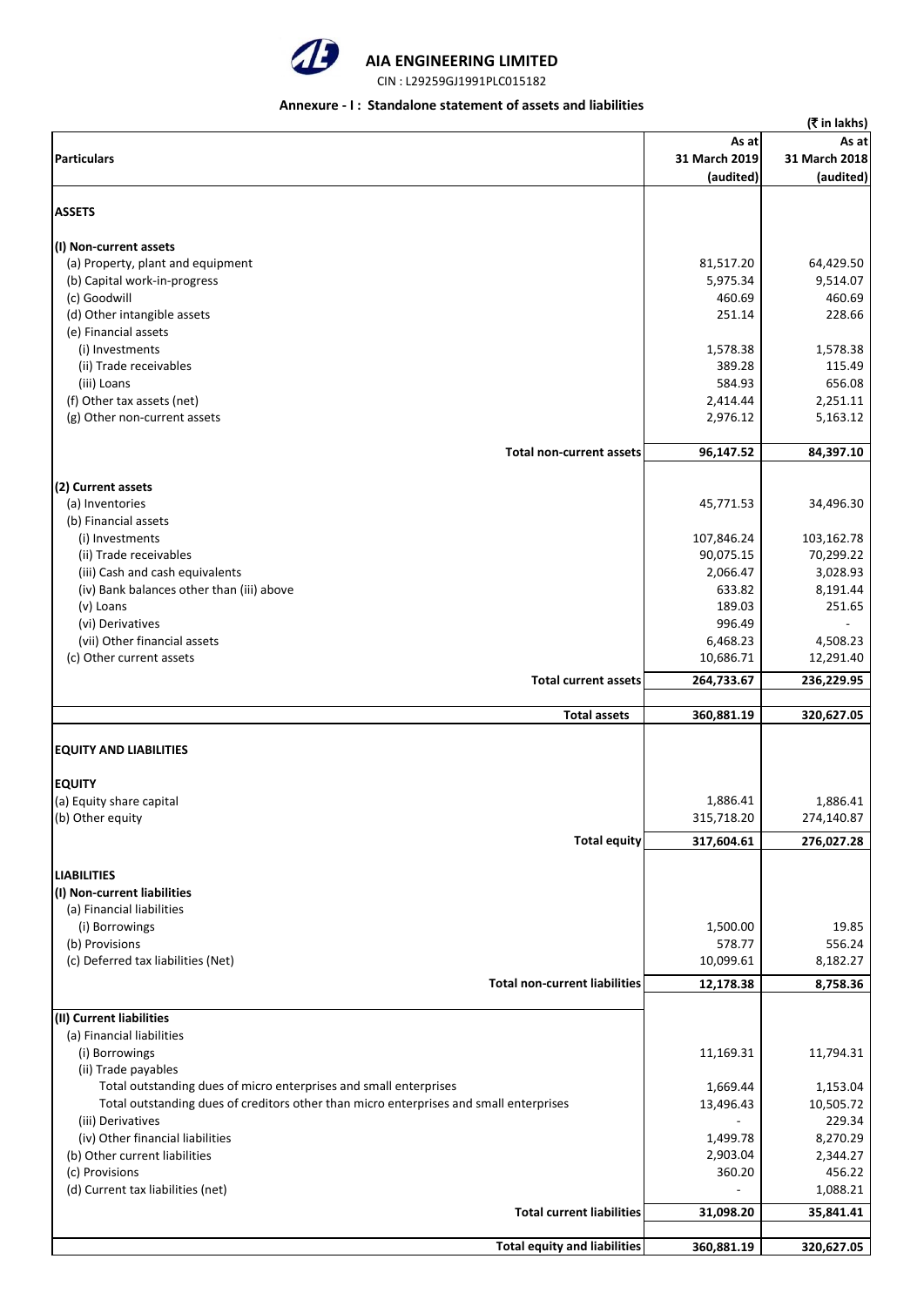

# **AIA ENGINEERING LIMITED**

CIN : L29259GJ1991PLC015182

#### **Annexure - I : Standalone statement of assets and liabilities**

|                                                                                        |                    | (₹ in lakhs)       |
|----------------------------------------------------------------------------------------|--------------------|--------------------|
|                                                                                        | As at              | As at              |
| <b>Particulars</b>                                                                     | 31 March 2019      | 31 March 2018      |
|                                                                                        | (audited)          | (audited)          |
| <b>ASSETS</b>                                                                          |                    |                    |
|                                                                                        |                    |                    |
| (I) Non-current assets                                                                 |                    |                    |
| (a) Property, plant and equipment                                                      | 81,517.20          | 64,429.50          |
| (b) Capital work-in-progress                                                           | 5,975.34<br>460.69 | 9,514.07<br>460.69 |
| (c) Goodwill<br>(d) Other intangible assets                                            | 251.14             | 228.66             |
| (e) Financial assets                                                                   |                    |                    |
| (i) Investments                                                                        | 1,578.38           | 1,578.38           |
| (ii) Trade receivables                                                                 | 389.28             | 115.49             |
| (iii) Loans                                                                            | 584.93             | 656.08             |
| (f) Other tax assets (net)                                                             | 2,414.44           | 2,251.11           |
| (g) Other non-current assets                                                           | 2,976.12           | 5,163.12           |
|                                                                                        |                    |                    |
| <b>Total non-current assets</b>                                                        | 96,147.52          | 84,397.10          |
| (2) Current assets                                                                     |                    |                    |
| (a) Inventories                                                                        | 45,771.53          | 34,496.30          |
| (b) Financial assets                                                                   |                    |                    |
| (i) Investments                                                                        | 107,846.24         | 103,162.78         |
| (ii) Trade receivables                                                                 | 90,075.15          | 70,299.22          |
| (iii) Cash and cash equivalents                                                        | 2,066.47           | 3,028.93           |
| (iv) Bank balances other than (iii) above                                              | 633.82             | 8,191.44           |
| (v) Loans                                                                              | 189.03             | 251.65             |
| (vi) Derivatives                                                                       | 996.49             |                    |
| (vii) Other financial assets                                                           | 6,468.23           | 4,508.23           |
| (c) Other current assets                                                               | 10,686.71          | 12,291.40          |
| <b>Total current assets</b>                                                            | 264,733.67         | 236,229.95         |
| <b>Total assets</b>                                                                    | 360,881.19         | 320,627.05         |
|                                                                                        |                    |                    |
| <b>EQUITY AND LIABILITIES</b>                                                          |                    |                    |
| <b>EQUITY</b>                                                                          |                    |                    |
| (a) Equity share capital                                                               | 1,886.41           | 1,886.41           |
| (b) Other equity                                                                       | 315,718.20         | 274,140.87         |
| <b>Total equity</b>                                                                    | 317,604.61         | 276,027.28         |
| <b>LIABILITIES</b>                                                                     |                    |                    |
| (I) Non-current liabilities                                                            |                    |                    |
| (a) Financial liabilities                                                              |                    |                    |
| (i) Borrowings                                                                         | 1,500.00           | 19.85              |
| (b) Provisions                                                                         | 578.77             | 556.24             |
| (c) Deferred tax liabilities (Net)                                                     | 10,099.61          | 8,182.27           |
|                                                                                        |                    | 8,758.36           |
| <b>Total non-current liabilities</b>                                                   |                    |                    |
|                                                                                        | 12,178.38          |                    |
| (II) Current liabilities                                                               |                    |                    |
| (a) Financial liabilities                                                              |                    |                    |
| (i) Borrowings                                                                         | 11,169.31          | 11,794.31          |
| (ii) Trade payables                                                                    |                    |                    |
| Total outstanding dues of micro enterprises and small enterprises                      | 1,669.44           | 1,153.04           |
| Total outstanding dues of creditors other than micro enterprises and small enterprises | 13,496.43          | 10,505.72          |
| (iii) Derivatives                                                                      |                    | 229.34             |
| (iv) Other financial liabilities                                                       | 1,499.78           | 8,270.29           |
| (b) Other current liabilities                                                          | 2,903.04           | 2,344.27           |
| (c) Provisions                                                                         | 360.20             | 456.22             |
| (d) Current tax liabilities (net)                                                      |                    | 1,088.21           |
| Total current liabilities                                                              | 31,098.20          | 35,841.41          |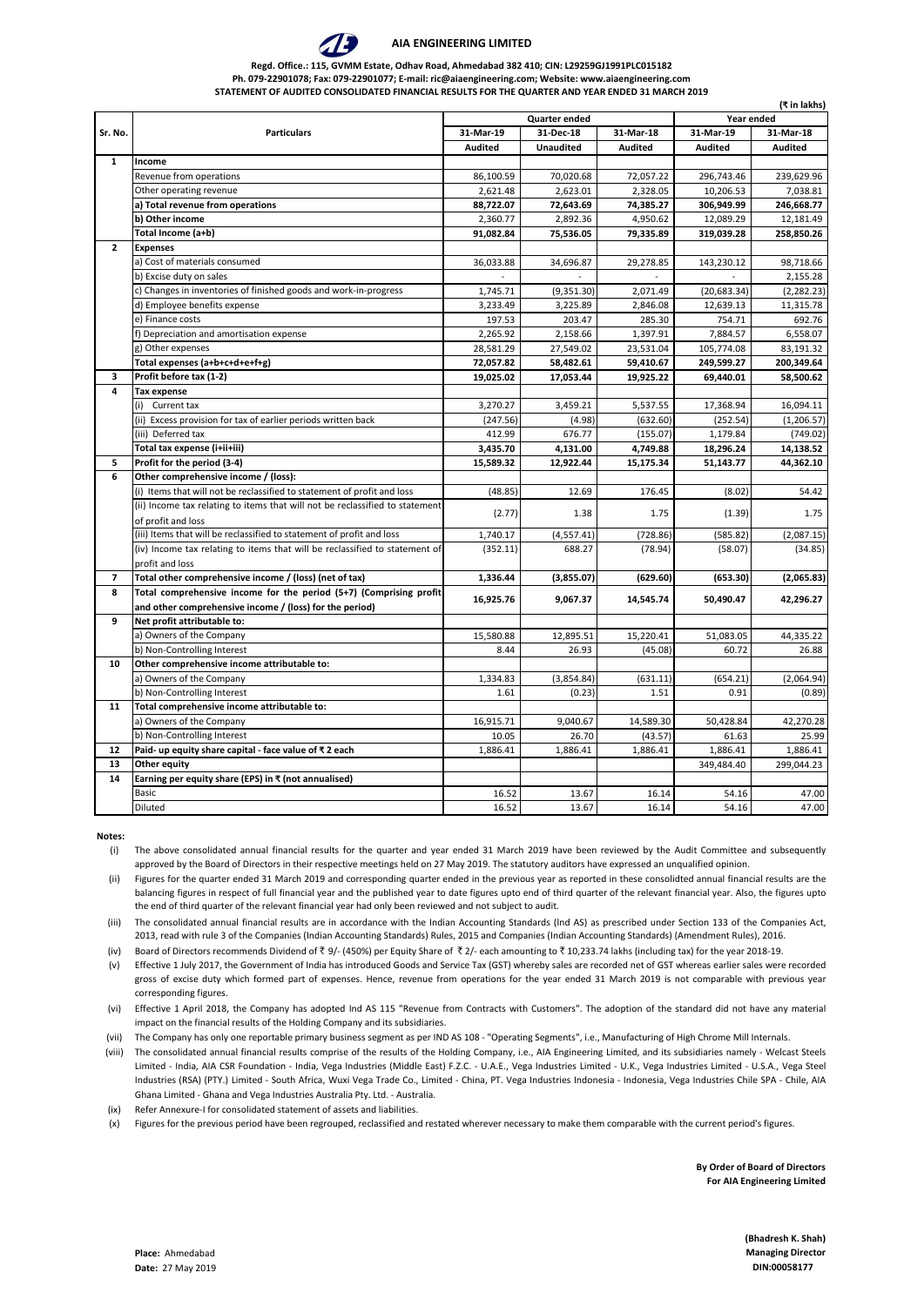(iv) Board of Directors recommends Dividend of  $\overline{\xi}$  9/- (450%) per Equity Share of  $\overline{\xi}$  2/- each amounting to  $\overline{\xi}$  10,233.74 lakhs (including tax) for the year 2018-19.

|                         |                                                                              |                |                      |                          |                | (₹ in lakhs)   |
|-------------------------|------------------------------------------------------------------------------|----------------|----------------------|--------------------------|----------------|----------------|
|                         |                                                                              |                | <b>Quarter ended</b> |                          | Year ended     |                |
| Sr. No.                 | <b>Particulars</b>                                                           | 31-Mar-19      | 31-Dec-18            | 31-Mar-18                | 31-Mar-19      | 31-Mar-18      |
|                         |                                                                              | <b>Audited</b> | <b>Unaudited</b>     | <b>Audited</b>           | <b>Audited</b> | <b>Audited</b> |
| 1                       | Income                                                                       |                |                      |                          |                |                |
|                         | Revenue from operations                                                      | 86,100.59      | 70,020.68            | 72,057.22                | 296,743.46     | 239,629.96     |
|                         | Other operating revenue                                                      | 2,621.48       | 2,623.01             | 2,328.05                 | 10,206.53      | 7,038.81       |
|                         | a) Total revenue from operations                                             | 88,722.07      | 72,643.69            | 74,385.27                | 306,949.99     | 246,668.77     |
|                         | b) Other income                                                              | 2,360.77       | 2,892.36             | 4,950.62                 | 12,089.29      | 12,181.49      |
|                         | Total Income (a+b)                                                           | 91,082.84      | 75,536.05            | 79,335.89                | 319,039.28     | 258,850.26     |
| $\mathbf{2}$            | <b>Expenses</b>                                                              |                |                      |                          |                |                |
|                         | a) Cost of materials consumed                                                | 36,033.88      | 34,696.87            | 29,278.85                | 143,230.12     | 98,718.66      |
|                         | b) Excise duty on sales                                                      |                |                      | $\overline{\phantom{a}}$ |                | 2,155.28       |
|                         | c) Changes in inventories of finished goods and work-in-progress             | 1,745.71       | (9,351.30)           | 2,071.49                 | (20, 683.34)   | (2, 282.23)    |
|                         | d) Employee benefits expense                                                 | 3,233.49       | 3,225.89             | 2,846.08                 | 12,639.13      | 11,315.78      |
|                         | e) Finance costs                                                             | 197.53         | 203.47               | 285.30                   | 754.71         | 692.76         |
|                         | f) Depreciation and amortisation expense                                     | 2,265.92       | 2,158.66             | 1,397.91                 | 7,884.57       | 6,558.07       |
|                         | g) Other expenses                                                            | 28,581.29      | 27,549.02            | 23,531.04                | 105,774.08     | 83,191.32      |
|                         | Total expenses (a+b+c+d+e+f+g)                                               | 72,057.82      | 58,482.61            | 59,410.67                | 249,599.27     | 200,349.64     |
| 3                       | Profit before tax (1-2)                                                      | 19,025.02      | 17,053.44            | 19,925.22                | 69,440.01      | 58,500.62      |
| 4                       | Tax expense                                                                  |                |                      |                          |                |                |
|                         | Current tax                                                                  | 3,270.27       | 3,459.21             | 5,537.55                 | 17,368.94      | 16,094.11      |
|                         | (ii) Excess provision for tax of earlier periods written back                | (247.56)       | (4.98)               | (632.60)                 | (252.54)       | (1, 206.57)    |
|                         | (iii) Deferred tax                                                           | 412.99         | 676.77               | (155.07)                 | 1,179.84       | (749.02)       |
|                         | Total tax expense (i+ii+iii)                                                 | 3,435.70       | 4,131.00             | 4,749.88                 | 18,296.24      | 14,138.52      |
| 5                       | Profit for the period (3-4)                                                  | 15,589.32      | 12,922.44            | 15,175.34                | 51,143.77      | 44,362.10      |
| 6                       | Other comprehensive income / (loss):                                         |                |                      |                          |                |                |
|                         | Items that will not be reclassified to statement of profit and loss          | (48.85)        | 12.69                | 176.45                   | (8.02)         | 54.42          |
|                         | (ii) Income tax relating to items that will not be reclassified to statement | (2.77)         | 1.38                 | 1.75                     | (1.39)         | 1.75           |
|                         | of profit and loss                                                           |                |                      |                          |                |                |
|                         | (iii) Items that will be reclassified to statement of profit and loss        | 1,740.17       | (4, 557.41)          | (728.86)                 | (585.82)       | (2,087.15)     |
|                         | (iv) Income tax relating to items that will be reclassified to statement of  | (352.11)       | 688.27               | (78.94)                  | (58.07)        | (34.85)        |
|                         | profit and loss                                                              |                |                      |                          |                |                |
| $\overline{\mathbf{z}}$ | Total other comprehensive income / (loss) (net of tax)                       | 1,336.44       | (3,855.07)           | (629.60)                 | (653.30)       | (2,065.83)     |
| 8                       | Total comprehensive income for the period (5+7) (Comprising profit           |                |                      |                          |                |                |
|                         | and other comprehensive income / (loss) for the period)                      | 16,925.76      | 9,067.37             | 14,545.74                | 50,490.47      | 42,296.27      |
| 9                       | Net profit attributable to:                                                  |                |                      |                          |                |                |
|                         | a) Owners of the Company                                                     | 15,580.88      | 12,895.51            | 15,220.41                | 51,083.05      | 44,335.22      |
|                         | b) Non-Controlling Interest                                                  | 8.44           | 26.93                | (45.08)                  | 60.72          | 26.88          |
| 10                      | Other comprehensive income attributable to:                                  |                |                      |                          |                |                |
|                         | a) Owners of the Company                                                     | 1,334.83       | (3,854.84)           | (631.11)                 | (654.21)       | (2,064.94)     |
|                         | b) Non-Controlling Interest                                                  | 1.61           | (0.23)               | 1.51                     | 0.91           | (0.89)         |
| 11                      | Total comprehensive income attributable to:                                  |                |                      |                          |                |                |
|                         | a) Owners of the Company                                                     | 16,915.71      | 9,040.67             | 14,589.30                | 50,428.84      | 42,270.28      |
|                         | b) Non-Controlling Interest                                                  | 10.05          | 26.70                | (43.57)                  | 61.63          | 25.99          |
| 12                      | Paid- up equity share capital - face value of ₹2 each                        | 1,886.41       | 1,886.41             | 1,886.41                 | 1,886.41       | 1,886.41       |
| 13                      | Other equity                                                                 |                |                      |                          | 349,484.40     | 299,044.23     |
| 14                      | Earning per equity share (EPS) in $\bar{x}$ (not annualised)                 |                |                      |                          |                |                |
|                         | Basic                                                                        | 16.52          | 13.67                | 16.14                    | 54.16          | 47.00          |
|                         | Diluted                                                                      | 16.52          | 13.67                | 16.14                    | 54.16          | 47.00          |

**Notes:**

**By Order of Board of Directors For AIA Engineering Limited**

**(Bhadresh K. Shah) Place:** Ahmedabad **Managing Director**

**Date:** 27 May 2019 **DIN:00058177**



#### **AIA ENGINEERING LIMITED**

(ii) Figures for the quarter ended 31 March 2019 and corresponding quarter ended in the previous year as reported in these consolidted annual financial results are the balancing figures in respect of full financial year and the published year to date figures upto end of third quarter of the relevant financial year. Also, the figures upto the end of third quarter of the relevant financial year had only been reviewed and not subject to audit.

#### **Regd. Office.: 115, GVMM Estate, Odhav Road, Ahmedabad 382 410; CIN: L29259GJ1991PLC015182 Ph. 079-22901078; Fax: 079-22901077; E-mail: ric@aiaengineering.com; Website: www.aiaengineering.com STATEMENT OF AUDITED CONSOLIDATED FINANCIAL RESULTS FOR THE QUARTER AND YEAR ENDED 31 MARCH 2019**

(vi) Effective 1 April 2018, the Company has adopted Ind AS 115 "Revenue from Contracts with Customers". The adoption of the standard did not have any material

- impact on the financial results of the Holding Company and its subsidiaries.
- (vii) The Company has only one reportable primary business segment as per IND AS 108 "Operating Segments", i.e., Manufacturing of High Chrome Mill Internals.
- (viii) The consolidated annual financial results comprise of the results of the Holding Company, i.e., AIA Engineering Limited, and its subsidiaries namely Welcast Steels Limited - India, AIA CSR Foundation - India, Vega Industries (Middle East) F.Z.C. - U.A.E., Vega Industries Limited - U.K., Vega Industries Limited - U.S.A., Vega Steel Industries (RSA) (PTY.) Limited - South Africa, Wuxi Vega Trade Co., Limited - China, PT. Vega Industries Indonesia - Indonesia, Vega Industries Chile SPA - Chile, AIA Ghana Limited - Ghana and Vega Industries Australia Pty. Ltd. - Australia.
- (ix) Refer Annexure-I for consolidated statement of assets and liabilities.
- (x) Figures for the previous period have been regrouped, reclassified and restated wherever necessary to make them comparable with the current period's figures.

(i) The above consolidated annual financial results for the quarter and year ended 31 March 2019 have been reviewed by the Audit Committee and subsequently approved by the Board of Directors in their respective meetings held on 27 May 2019. The statutory auditors have expressed an unqualified opinion.

(v) Effective 1 July 2017, the Government of India has introduced Goods and Service Tax (GST) whereby sales are recorded net of GST whereas earlier sales were recorded gross of excise duty which formed part of expenses. Hence, revenue from operations for the year ended 31 March 2019 is not comparable with previous year corresponding figures.

(iii) The consolidated annual financial results are in accordance with the Indian Accounting Standards (lnd AS) as prescribed under Section 133 of the Companies Act, 2013, read with rule 3 of the Companies (Indian Accounting Standards) Rules, 2015 and Companies (Indian Accounting Standards) (Amendment Rules), 2016.